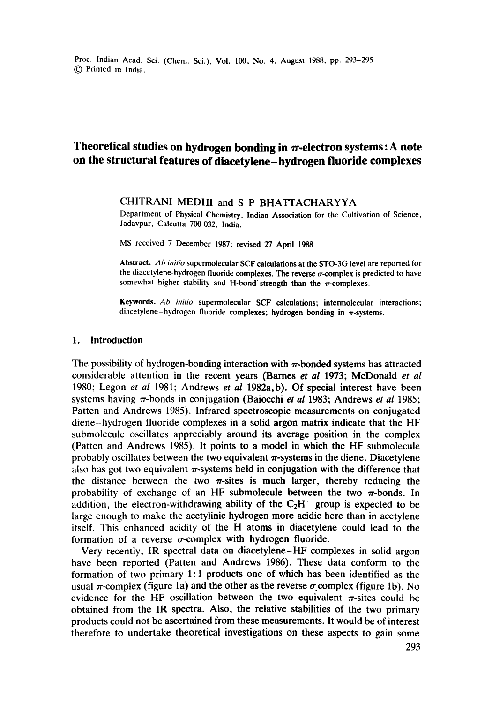Proc. Indian Acad. Sci. (Chem. Sci.), Vol. 100, No. 4, August 1988, pp. 293-295 (~) Printed in India.

# Theoretical studies on hydrogen bonding in  $\pi$ -electron systems: A note **on the structural features of diacetylene-hydrogen fluoride complexes**

## CHITRANI MEDHI and S P BHATTACHARYYA

Department of Physical Chemistry. Indian Association for the Cultivation of Science, Jadavpur, Calcutta 700 032, India.

MS received 7 December 1987; revised 27 April 1988

**Abstract.** *Ab initio* supermolecular SCF **calculations at the** STO-3G level are reported for the diacetylene-hydrogen fluoride complexes. The reverse  $\sigma$ -complex is predicted to have somewhat higher stability and H-bond strength than the  $\pi$ -complexes.

**Keywords.** *Ab initio* supermolecular SCF calculations; intermolecular interactions; diacetylene-hydrogen fluoride complexes; hydrogen bonding in  $\pi$ -systems.

## **1. Introduction**

The possibility of hydrogen-bonding interaction with  $\pi$ -bonded systems has attracted considerable attention in the recent years (Barnes *et al* 1973; McDonald *et al*  1980; Legon *et al* 1981; Andrews *et al* 1982a, b). Of special interest have been systems having ~'-bonds in conjugation (Baiocchi *et al* 1983; Andrews *et al* 1985; Patten and Andrews 1985). Infrared spectroscopic measurements on conjugated diene-hydrogen fluoride complexes in a solid argon matrix indicate that the HF submolecule oscillates appreciably around its average position in the complex (Patten and Andrews 1985). It points to a model in which the HF submolecule probably oscillates between the two equivalent  $\pi$ -systems in the diene. Diacetylene also has got two equivalent  $\pi$ -systems held in conjugation with the difference that the distance between the two  $\pi$ -sites is much larger, thereby reducing the probability of exchange of an HF submolecule between the two  $\pi$ -bonds. In addition, the electron-withdrawing ability of the  $C_2H^-$  group is expected to be large enough to make the acetylinic hydrogen more acidic here than in acetylene itself. This enhanced acidity of the H atoms in diacetylene could lead to the formation of a reverse  $\sigma$ -complex with hydrogen fluoride.

Very recently, IR spectral data on diacetylene-HF complexes in solid argon have been reported (Patten and Andrews 1986). These data conform to the formation of two primary 1:1 products one of which has been identified as the usual  $\pi$ -complex (figure 1a) and the other as the reverse  $\sigma$  complex (figure 1b). No evidence for the HF oscillation between the two equivalent  $\pi$ -sites could be obtained from the IR spectra. Also, the relative stabilities of the two primary products could not be ascertained from these measurements. It would be of interest therefore to undertake theoretical investigations on these aspects to gain some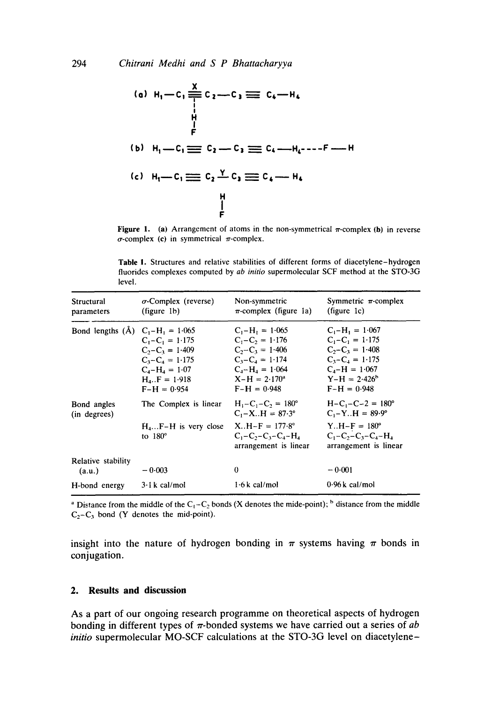(a) 
$$
H_1 - C_1 \stackrel{\underline{X}}{\underset{f}{\rightleftharpoons}} C_2 - C_3 \equiv C_4 - H_4
$$

\n(b)  $H_1 - C_1 \equiv C_2 - C_3 \equiv C_4 - H_4 - -F - H_4$ 

\n(c)  $H_1 - C_1 \equiv C_2 \stackrel{\underline{Y}}{\underset{f}{\rightleftharpoons}} C_3 \equiv C_4 - H_4$ 

\n(d)  $H_1 - C_1 \equiv C_2 - C_3 \equiv C_4 - H_4 - F_4$ 

**Figure 1.** (a) Arrangement of atoms in the non-symmetrical  $\pi$ -complex (b) in reverse  $\sigma$ -complex (c) in symmetrical  $\pi$ -complex.

Table I. Structures and relative stabilities of different forms of diacetylene-hydrogen fluorides complexes computed by *ab initio* supermolecular SCF method at the STO-3G level.

| Structural<br>parameters           | $\sigma$ -Complex (reverse)<br>(figure 1b)                                                                                        | Non-symmetric<br>$\pi$ -complex (figure 1a)                                                                                                         | Symmetric $\pi$ -complex<br>(figure 1c)                                                                                                           |
|------------------------------------|-----------------------------------------------------------------------------------------------------------------------------------|-----------------------------------------------------------------------------------------------------------------------------------------------------|---------------------------------------------------------------------------------------------------------------------------------------------------|
| Bond lengths (A) $C_1-H_1 = 1.065$ | $C_1 - C_1 = 1.175$<br>$C_2 - C_2 = 1.409$<br>$C_3 - C_4 = 1.175$<br>$C_4 - H_4 = 1.07$<br>$H_{4}$ . $F = 1.918$<br>$F-H = 0.954$ | $C_1 - H_1 = 1.065$<br>$C_1 - C_2 = 1.176$<br>$C_2 - C_3 = 1.406$<br>$C_3 - C_4 = 1.174$<br>$C_4 - H_4 = 1.064$<br>$X-H = 2.170^a$<br>$F-H = 0.948$ | $C_1 - H_1 = 1.067$<br>$C_1 - C_1 = 1.175$<br>$C_2 - C_3 = 1.408$<br>$C_3 - C_4 = 1.175$<br>$C_4 - H = 1.067$<br>$Y-H = 2.426^b$<br>$F-H = 0.948$ |
| Bond angles<br>(in degrees)        | The Complex is linear                                                                                                             | $H_1 - C_1 - C_2 = 180^\circ$<br>$C_1 - X_H = 87.3^\circ$                                                                                           | $H - C_1 - C - 2 = 180^\circ$<br>$C_1 - Y_H = 89.9^\circ$                                                                                         |
|                                    | $H_4F-H$ is very close X. $H-F = 177.8^{\circ}$<br>to $180^\circ$                                                                 | $C_1 - C_2 - C_3 - C_4 - H_4$<br>arrangement is linear                                                                                              | $Y_H - F = 180^\circ$<br>$C_1 - C_2 - C_3 - C_4 - H_4$<br>arrangement is linear                                                                   |
| Relative stability<br>(a.u.)       | $-0.003$                                                                                                                          | $\theta$                                                                                                                                            | $-0.001$                                                                                                                                          |
| H-bond energy                      | 3 · 1 k cal/mol                                                                                                                   | $1.6k$ cal/mol                                                                                                                                      | $0.96 \text{ k}$ cal/mol                                                                                                                          |

<sup>a</sup> Distance from the middle of the C<sub>1</sub>-C<sub>2</sub> bonds (X denotes the mide-point); <sup>b</sup> distance from the middle  $C_2 - C_3$  bond (Y denotes the mid-point).

insight into the nature of hydrogen bonding in  $\pi$  systems having  $\pi$  bonds in conjugation.

### **2. Results and discussion**

As a part of our ongoing research programme on theoretical aspects of hydrogen bonding in different types of  $\pi$ -bonded systems we have carried out a series of  $ab$ *initio* supermolecular MO-SCF calculations at the STO-3G level on diacetylene-